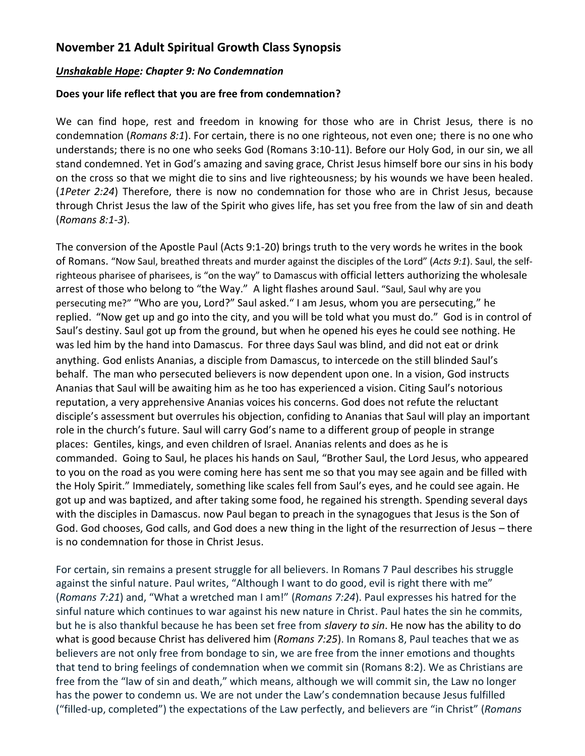### **November 21 Adult Spiritual Growth Class Synopsis**

#### *Unshakable Hope: Chapter 9: No Condemnation*

#### **Does your life reflect that you are free from condemnation?**

We can find hope, rest and freedom in knowing for those who are in Christ Jesus, there is no condemnation (*Romans 8:1*). For certain, there is no one righteous, not even one; there is no one who understands; there is no one who seeks God (Romans 3:10-11). Before our Holy God, in our sin, we all stand condemned. Yet in God's amazing and saving grace, Christ Jesus himself bore our sins in his body on the cross so that we might die to sins and live righteousness; by his wounds we have been healed. (*1Peter 2:24*) Therefore, there is now no condemnation for those who are in Christ Jesus, because through Christ Jesus the law of the Spirit who gives life, has set you free from the law of sin and death (*Romans 8:1-3*).

The conversion of the Apostle Paul (Acts 9:1-20) brings truth to the very words he writes in the book of Romans. "Now Saul, breathed threats and murder against the disciples of the Lord" (*Acts 9:1*). Saul, the selfrighteous pharisee of pharisees, is "on the way" to Damascus with official letters authorizing the wholesale arrest of those who belong to "the Way." A light flashes around Saul. "Saul, Saul why are you persecuting me?" "Who are you, Lord?" Saul asked." I am Jesus, whom you are persecuting," he replied. "Now get up and go into the city, and you will be told what you must do." God is in control of Saul's destiny. Saul got up from the ground, but when he opened his eyes he could see nothing. He was led him by the hand into Damascus. For three days Saul was blind, and did not eat or drink anything. God enlists Ananias, a disciple from Damascus, to intercede on the still blinded Saul's behalf. The man who persecuted believers is now dependent upon one. In a vision, God instructs Ananias that Saul will be awaiting him as he too has experienced a vision. Citing Saul's notorious reputation, a very apprehensive Ananias voices his concerns. God does not refute the reluctant disciple's assessment but overrules his objection, confiding to Ananias that Saul will play an important role in the church's future. Saul will carry God's name to a different group of people in strange places: Gentiles, kings, and even children of Israel. Ananias relents and does as he is commanded. Going to Saul, he places his hands on Saul, "Brother Saul, the Lord Jesus, who appeared to you on the road as you were coming here has sent me so that you may see again and be filled with the Holy Spirit." Immediately, something like scales fell from Saul's eyes, and he could see again. He got up and was baptized, and after taking some food, he regained his strength. Spending several days with the disciples in Damascus. now Paul began to preach in the synagogues that Jesus is the Son of God. God chooses, God calls, and God does a new thing in the light of the resurrection of Jesus – there is no condemnation for those in Christ Jesus.

For certain, sin remains a present struggle for all believers. In Romans 7 Paul describes his struggle against the sinful nature. Paul writes, "Although I want to do good, evil is right there with me" (*Romans 7:21*) and, "What a wretched man I am!" (*Romans 7:24*). Paul expresses his hatred for the sinful nature which continues to war against his new nature in Christ. Paul hates the sin he commits, but he is also thankful because he has been set free from *slavery to sin*. He now has the ability to do what is good because Christ has delivered him (*Romans 7:25*). In Romans 8, Paul teaches that we as believers are not only free from bondage to sin, we are free from the inner emotions and thoughts that tend to bring feelings of condemnation when we commit sin (Romans 8:2). We as Christians are free from the "law of sin and death," which means, although we will commit sin, the Law no longer has the power to condemn us. We are not under the Law's condemnation because Jesus fulfilled ("filled-up, completed") the expectations of the Law perfectly, and believers are "in Christ" (*Romans*